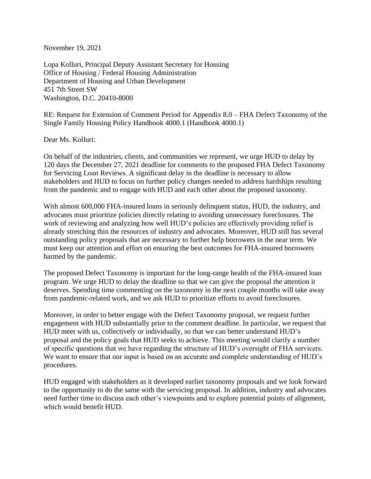November 19, 2021

Lopa Kolluri, Principal Deputy Assistant Secretary for Housing Office of Housing / Federal Housing Administration Department of Housing and Urban Development 451 7th Street SW Washington, D.C. 20410-8000

RE: Request for Extension of Comment Period for Appendix 8.0 – FHA Defect Taxonomy of the Single Family Housing Policy Handbook 4000.1 (Handbook 4000.1)

Dear Ms. Kolluri:

On behalf of the industries, clients, and communities we represent, we urge HUD to delay by 120 days the December 27, 2021 deadline for comments to the proposed FHA Defect Taxonomy for Servicing Loan Reviews. A significant delay in the deadline is necessary to allow stakeholders and HUD to focus on further policy changes needed to address hardships resulting from the pandemic and to engage with HUD and each other about the proposed taxonomy.

With almost 600,000 FHA-insured loans in seriously delinquent status, HUD, the industry, and advocates must prioritize policies directly relating to avoiding unnecessary foreclosures. The work of reviewing and analyzing how well HUD's policies are effectively providing relief is already stretching thin the resources of industry and advocates. Moreover, HUD still has several outstanding policy proposals that are necessary to further help borrowers in the near term. We must keep our attention and effort on ensuring the best outcomes for FHA-insured borrowers harmed by the pandemic.

The proposed Defect Taxonomy is important for the long-range health of the FHA-insured loan program. We urge HUD to delay the deadline so that we can give the proposal the attention it deserves. Spending time commenting on the taxonomy in the next couple months will take away from pandemic-related work, and we ask HUD to prioritize efforts to avoid foreclosures.

Moreover, in order to better engage with the Defect Taxonomy proposal, we request further engagement with HUD substantially prior to the comment deadline. In particular, we request that HUD meet with us, collectively or individually, so that we can better understand HUD's proposal and the policy goals that HUD seeks to achieve. This meeting would clarify a number of specific questions that we have regarding the structure of HUD's oversight of FHA servicers. We want to ensure that our input is based on an accurate and complete understanding of HUD's procedures.

HUD engaged with stakeholders as it developed earlier taxonomy proposals and we look forward to the opportunity to do the same with the servicing proposal. In addition, industry and advocates need further time to discuss each other's viewpoints and to explore potential points of alignment, which would benefit HUD.